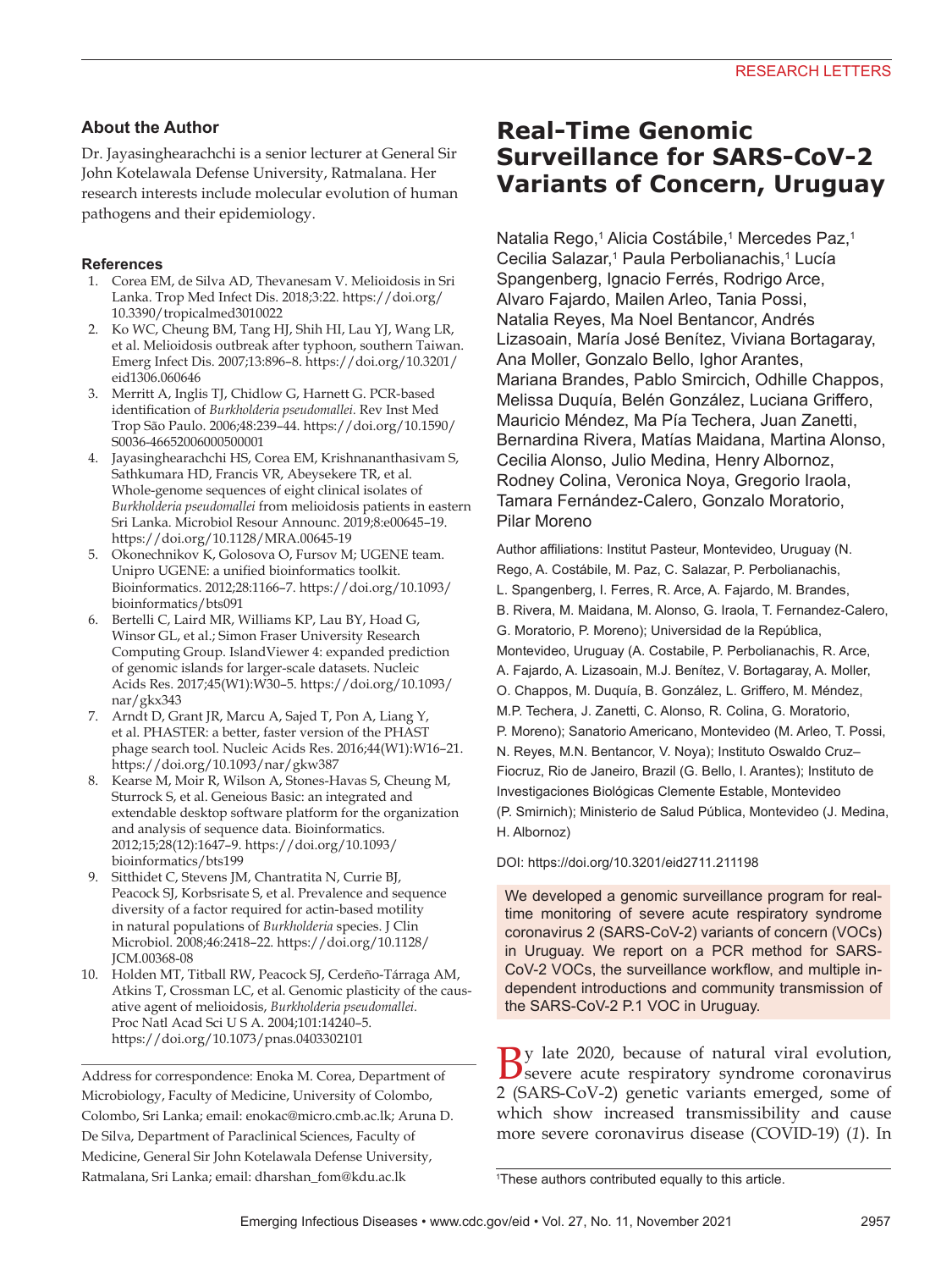### **About the Author**

Dr. Jayasinghearachchi is a senior lecturer at General Sir John Kotelawala Defense University, Ratmalana. Her research interests include molecular evolution of human pathogens and their epidemiology.

#### **References**

- 1. Corea EM, de Silva AD, Thevanesam V. Melioidosis in Sri Lanka. Trop Med Infect Dis. 2018;3:22. https://doi.org/ 10.3390/tropicalmed3010022
- 2. Ko WC, Cheung BM, Tang HJ, Shih HI, Lau YJ, Wang LR, et al. Melioidosis outbreak after typhoon, southern Taiwan. Emerg Infect Dis. 2007;13:896–8. https://doi.org/10.3201/ eid1306.060646
- 3. Merritt A, Inglis TJ, Chidlow G, Harnett G. PCR-based identification of *Burkholderia pseudomallei.* Rev Inst Med Trop São Paulo. 2006;48:239–44. https://doi.org/10.1590/ S0036-46652006000500001
- 4. Jayasinghearachchi HS, Corea EM, Krishnananthasivam S, Sathkumara HD, Francis VR, Abeysekere TR, et al. Whole-genome sequences of eight clinical isolates of *Burkholderia pseudomallei* from melioidosis patients in eastern Sri Lanka. Microbiol Resour Announc. 2019;8:e00645–19. https://doi.org/10.1128/MRA.00645-19
- 5. Okonechnikov K, Golosova O, Fursov M; UGENE team. Unipro UGENE: a unified bioinformatics toolkit. Bioinformatics. 2012;28:1166–7. https://doi.org/10.1093/ bioinformatics/bts091
- 6. Bertelli C, Laird MR, Williams KP, Lau BY, Hoad G, Winsor GL, et al.; Simon Fraser University Research Computing Group. IslandViewer 4: expanded prediction of genomic islands for larger-scale datasets. Nucleic Acids Res. 2017;45(W1):W30–5. https://doi.org/10.1093/ nar/gkx343
- 7. Arndt D, Grant JR, Marcu A, Sajed T, Pon A, Liang Y, et al. PHASTER: a better, faster version of the PHAST phage search tool. Nucleic Acids Res. 2016;44(W1):W16–21. https://doi.org/10.1093/nar/gkw387
- 8. Kearse M, Moir R, Wilson A, Stones-Havas S, Cheung M, Sturrock S, et al. Geneious Basic: an integrated and extendable desktop software platform for the organization and analysis of sequence data. Bioinformatics. 2012;15;28(12):1647–9. https://doi.org/10.1093/ bioinformatics/bts199
- 9. Sitthidet C, Stevens JM, Chantratita N, Currie BJ, Peacock SJ, Korbsrisate S, et al. Prevalence and sequence diversity of a factor required for actin-based motility in natural populations of *Burkholderia* species. J Clin Microbiol. 2008;46:2418–22. https://doi.org/10.1128/ JCM.00368-08
- 10. Holden MT, Titball RW, Peacock SJ, Cerdeño-Tárraga AM, Atkins T, Crossman LC, et al. Genomic plasticity of the causative agent of melioidosis, *Burkholderia pseudomallei.* Proc Natl Acad Sci U S A. 2004;101:14240–5. https://doi.org/10.1073/pnas.0403302101

Address for correspondence: Enoka M. Corea, Department of Microbiology, Faculty of Medicine, University of Colombo, Colombo, Sri Lanka; email: enokac@micro.cmb.ac.lk; Aruna D. De Silva, Department of Paraclinical Sciences, Faculty of Medicine, General Sir John Kotelawala Defense University, Ratmalana, Sri Lanka; email: dharshan\_fom@kdu.ac.lk

# **Real-Time Genomic Surveillance for SARS-CoV-2 Variants of Concern, Uruguay**

Natalia Rego,<sup>1</sup> Alicia Costábile,<sup>1</sup> Mercedes Paz,<sup>1</sup> Cecilia Salazar,<sup>1</sup> Paula Perbolianachis,<sup>1</sup> Lucía Spangenberg, Ignacio Ferrés, Rodrigo Arce, Alvaro Fajardo, Mailen Arleo, Tania Possi, Natalia Reyes, Ma Noel Bentancor, Andrés Lizasoain, María José Benítez, Viviana Bortagaray, Ana Moller, Gonzalo Bello, Ighor Arantes, Mariana Brandes, Pablo Smircich, Odhille Chappos, Melissa Duquía, Belén González, Luciana Griffero, Mauricio Méndez, Ma Pía Techera, Juan Zanetti, Bernardina Rivera, Matías Maidana, Martina Alonso, Cecilia Alonso, Julio Medina, Henry Albornoz, Rodney Colina, Veronica Noya, Gregorio Iraola, Tamara Fernández-Calero, Gonzalo Moratorio, Pilar Moreno

Author affiliations: Institut Pasteur, Montevideo, Uruguay (N. Rego, A. Costábile, M. Paz, C. Salazar, P. Perbolianachis, L. Spangenberg, I. Ferres, R. Arce, A. Fajardo, M. Brandes, B. Rivera, M. Maidana, M. Alonso, G. Iraola, T. Fernandez-Calero, G. Moratorio, P. Moreno); Universidad de la República, Montevideo, Uruguay (A. Costabile, P. Perbolianachis, R. Arce, A. Fajardo, A. Lizasoain, M.J. Benítez, V. Bortagaray, A. Moller, O. Chappos, M. Duquía, B. González, L. Griffero, M. Méndez, M.P. Techera, J. Zanetti, C. Alonso, R. Colina, G. Moratorio, P. Moreno); Sanatorio Americano, Montevideo (M. Arleo, T. Possi, N. Reyes, M.N. Bentancor, V. Noya); Instituto Oswaldo Cruz– Fiocruz, Rio de Janeiro, Brazil (G. Bello, I. Arantes); Instituto de Investigaciones Biológicas Clemente Estable, Montevideo (P. Smirnich); Ministerio de Salud Pública, Montevideo (J. Medina, H. Albornoz)

DOI: https://doi.org/10.3201/eid2711.211198

We developed a genomic surveillance program for realtime monitoring of severe acute respiratory syndrome coronavirus 2 (SARS-CoV-2) variants of concern (VOCs) in Uruguay. We report on a PCR method for SARS-CoV-2 VOCs, the surveillance workflow, and multiple independent introductions and community transmission of the SARS-CoV-2 P.1 VOC in Uruguay.

By late 2020, because of natural viral evolution,<br>
Severe acute respiratory syndrome coronavirus 2 (SARS-CoV-2) genetic variants emerged, some of which show increased transmissibility and cause more severe coronavirus disease (COVID-19) (*1*). In

<sup>1</sup> These authors contributed equally to this article.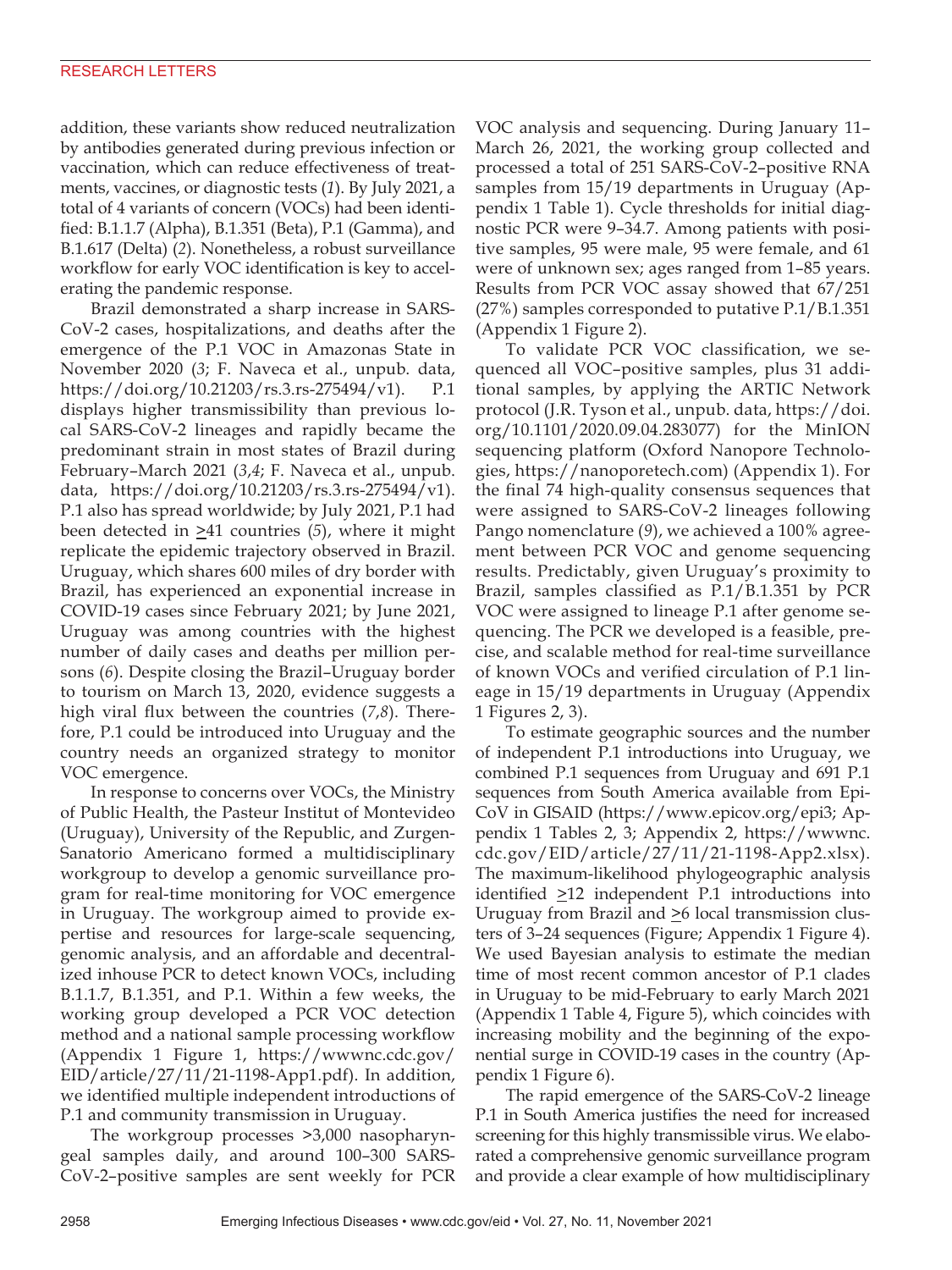addition, these variants show reduced neutralization by antibodies generated during previous infection or vaccination, which can reduce effectiveness of treatments, vaccines, or diagnostic tests (*1*). By July 2021, a total of 4 variants of concern (VOCs) had been identified: B.1.1.7 (Alpha), B.1.351 (Beta), P.1 (Gamma), and B.1.617 (Delta) (*2*). Nonetheless, a robust surveillance workflow for early VOC identification is key to accelerating the pandemic response.

Brazil demonstrated a sharp increase in SARS-CoV-2 cases, hospitalizations, and deaths after the emergence of the P.1 VOC in Amazonas State in November 2020 (*3*; F. Naveca et al., unpub. data, https://doi.org/10.21203/rs.3.rs-275494/v1). P.1 displays higher transmissibility than previous local SARS-CoV-2 lineages and rapidly became the predominant strain in most states of Brazil during February–March 2021 (*3*,*4*; F. Naveca et al., unpub. data, https://doi.org/10.21203/rs.3.rs-275494/v1). P.1 also has spread worldwide; by July 2021, P.1 had been detected in  $\geq 41$  countries (5), where it might replicate the epidemic trajectory observed in Brazil. Uruguay, which shares 600 miles of dry border with Brazil, has experienced an exponential increase in COVID-19 cases since February 2021; by June 2021, Uruguay was among countries with the highest number of daily cases and deaths per million persons (*6*). Despite closing the Brazil–Uruguay border to tourism on March 13, 2020, evidence suggests a high viral flux between the countries (*7*,*8*). Therefore, P.1 could be introduced into Uruguay and the country needs an organized strategy to monitor VOC emergence.

In response to concerns over VOCs, the Ministry of Public Health, the Pasteur Institut of Montevideo (Uruguay), University of the Republic, and Zurgen-Sanatorio Americano formed a multidisciplinary workgroup to develop a genomic surveillance program for real-time monitoring for VOC emergence in Uruguay. The workgroup aimed to provide expertise and resources for large-scale sequencing, genomic analysis, and an affordable and decentralized inhouse PCR to detect known VOCs, including B.1.1.7, B.1.351, and P.1. Within a few weeks, the working group developed a PCR VOC detection method and a national sample processing workflow (Appendix 1 Figure 1, https://wwwnc.cdc.gov/ EID/article/27/11/21-1198-App1.pdf). In addition, we identified multiple independent introductions of P.1 and community transmission in Uruguay.

The workgroup processes >3,000 nasopharyngeal samples daily, and around 100–300 SARS-CoV-2–positive samples are sent weekly for PCR VOC analysis and sequencing. During January 11– March 26, 2021, the working group collected and processed a total of 251 SARS-CoV-2–positive RNA samples from 15/19 departments in Uruguay (Appendix 1 Table 1). Cycle thresholds for initial diagnostic PCR were 9–34.7. Among patients with positive samples, 95 were male, 95 were female, and 61 were of unknown sex; ages ranged from 1–85 years. Results from PCR VOC assay showed that 67/251 (27%) samples corresponded to putative P.1/B.1.351 (Appendix 1 Figure 2).

To validate PCR VOC classification, we sequenced all VOC–positive samples, plus 31 additional samples, by applying the ARTIC Network protocol (J.R. Tyson et al., unpub. data, https://doi. org/10.1101/2020.09.04.283077) for the MinION sequencing platform (Oxford Nanopore Technologies, https://nanoporetech.com) (Appendix 1). For the final 74 high-quality consensus sequences that were assigned to SARS-CoV-2 lineages following Pango nomenclature (*9*), we achieved a 100% agreement between PCR VOC and genome sequencing results. Predictably, given Uruguay's proximity to Brazil, samples classified as P.1/B.1.351 by PCR VOC were assigned to lineage P.1 after genome sequencing. The PCR we developed is a feasible, precise, and scalable method for real-time surveillance of known VOCs and verified circulation of P.1 lineage in 15/19 departments in Uruguay (Appendix 1 Figures 2, 3).

To estimate geographic sources and the number of independent P.1 introductions into Uruguay, we combined P.1 sequences from Uruguay and 691 P.1 sequences from South America available from Epi-CoV in GISAID (https://www.epicov.org/epi3; Appendix 1 Tables 2, 3; Appendix 2, https://wwwnc. cdc.gov/EID/article/27/11/21-1198-App2.xlsx). The maximum-likelihood phylogeographic analysis identified  $\geq$ 12 independent P.1 introductions into Uruguay from Brazil and  $\geq$ 6 local transmission clusters of 3–24 sequences (Figure; Appendix 1 Figure 4). We used Bayesian analysis to estimate the median time of most recent common ancestor of P.1 clades in Uruguay to be mid-February to early March 2021 (Appendix 1 Table 4, Figure 5), which coincides with increasing mobility and the beginning of the exponential surge in COVID-19 cases in the country (Appendix 1 Figure 6).

The rapid emergence of the SARS-CoV-2 lineage P.1 in South America justifies the need for increased screening for this highly transmissible virus. We elaborated a comprehensive genomic surveillance program and provide a clear example of how multidisciplinary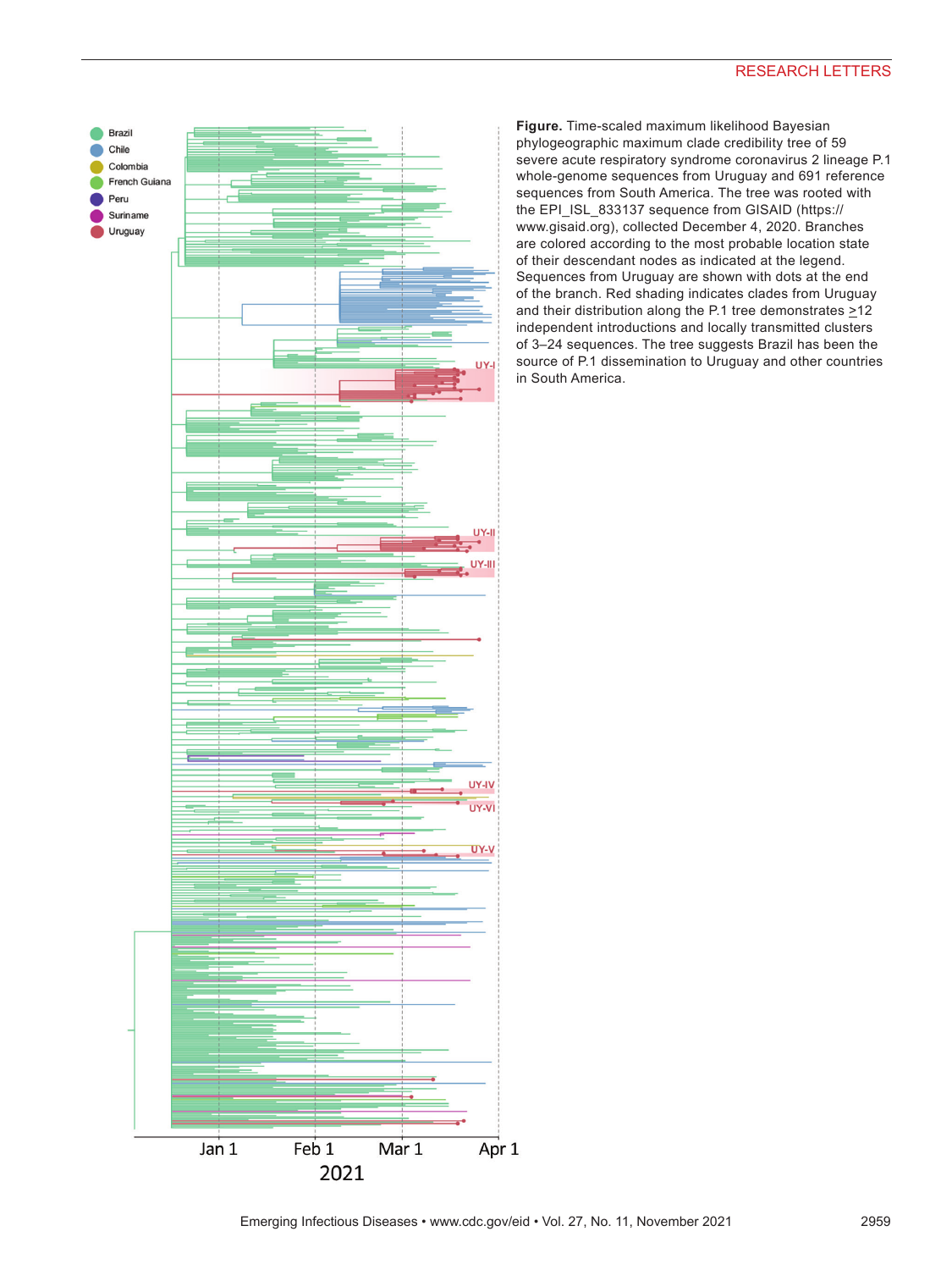

**Figure.** Time-scaled maximum likelihood Bayesian phylogeographic maximum clade credibility tree of 59 severe acute respiratory syndrome coronavirus 2 lineage P.1 whole-genome sequences from Uruguay and 691 reference sequences from South America. The tree was rooted with the EPI\_ISL\_833137 sequence from GISAID (https:// www.gisaid.org), collected December 4, 2020. Branches are colored according to the most probable location state of their descendant nodes as indicated at the legend. Sequences from Uruguay are shown with dots at the end of the branch. Red shading indicates clades from Uruguay and their distribution along the P.1 tree demonstrates  $\geq$ 12 independent introductions and locally transmitted clusters of 3–24 sequences. The tree suggests Brazil has been the source of P.1 dissemination to Uruguay and other countries in South America.